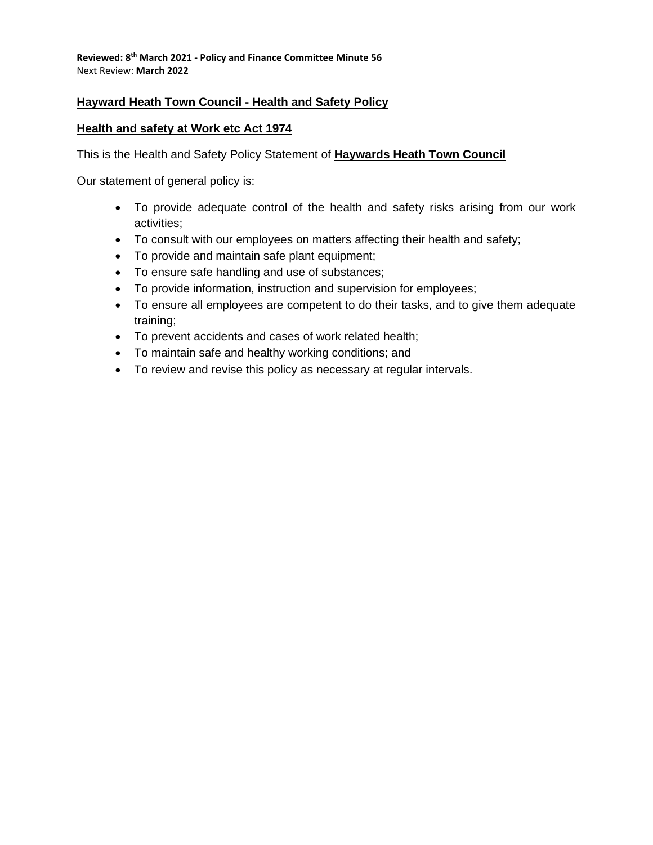# **Hayward Heath Town Council - Health and Safety Policy**

### **Health and safety at Work etc Act 1974**

This is the Health and Safety Policy Statement of **Haywards Heath Town Council**

Our statement of general policy is:

- To provide adequate control of the health and safety risks arising from our work activities;
- To consult with our employees on matters affecting their health and safety;
- To provide and maintain safe plant equipment;
- To ensure safe handling and use of substances;
- To provide information, instruction and supervision for employees;
- To ensure all employees are competent to do their tasks, and to give them adequate training;
- To prevent accidents and cases of work related health;
- To maintain safe and healthy working conditions; and
- To review and revise this policy as necessary at regular intervals.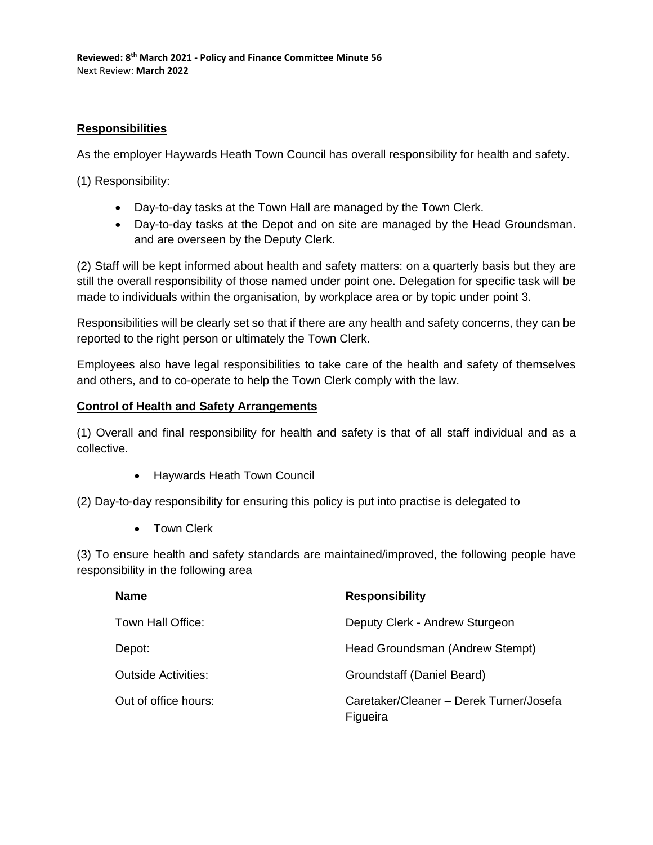# **Responsibilities**

As the employer Haywards Heath Town Council has overall responsibility for health and safety.

(1) Responsibility:

- Day-to-day tasks at the Town Hall are managed by the Town Clerk.
- Day-to-day tasks at the Depot and on site are managed by the Head Groundsman. and are overseen by the Deputy Clerk.

(2) Staff will be kept informed about health and safety matters: on a quarterly basis but they are still the overall responsibility of those named under point one. Delegation for specific task will be made to individuals within the organisation, by workplace area or by topic under point 3.

Responsibilities will be clearly set so that if there are any health and safety concerns, they can be reported to the right person or ultimately the Town Clerk.

Employees also have legal responsibilities to take care of the health and safety of themselves and others, and to co-operate to help the Town Clerk comply with the law.

### **Control of Health and Safety Arrangements**

(1) Overall and final responsibility for health and safety is that of all staff individual and as a collective.

• Haywards Heath Town Council

(2) Day-to-day responsibility for ensuring this policy is put into practise is delegated to

• Town Clerk

(3) To ensure health and safety standards are maintained/improved, the following people have responsibility in the following area

| <b>Name</b>                | <b>Responsibility</b>                               |
|----------------------------|-----------------------------------------------------|
| Town Hall Office:          | Deputy Clerk - Andrew Sturgeon                      |
| Depot:                     | Head Groundsman (Andrew Stempt)                     |
| <b>Outside Activities:</b> | Groundstaff (Daniel Beard)                          |
| Out of office hours:       | Caretaker/Cleaner - Derek Turner/Josefa<br>Figueira |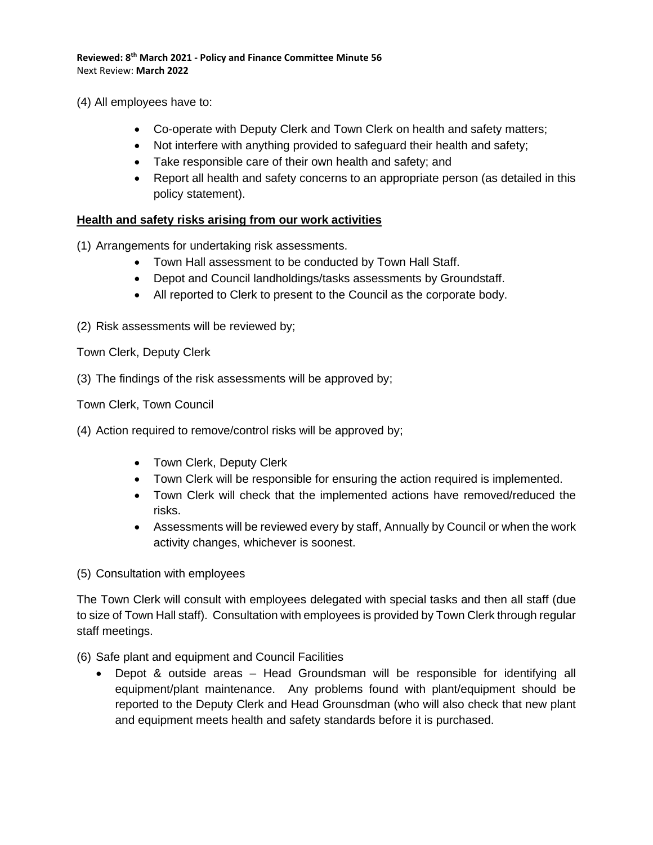(4) All employees have to:

- Co-operate with Deputy Clerk and Town Clerk on health and safety matters;
- Not interfere with anything provided to safeguard their health and safety;
- Take responsible care of their own health and safety; and
- Report all health and safety concerns to an appropriate person (as detailed in this policy statement).

### **Health and safety risks arising from our work activities**

- (1) Arrangements for undertaking risk assessments.
	- Town Hall assessment to be conducted by Town Hall Staff.
	- Depot and Council landholdings/tasks assessments by Groundstaff.
	- All reported to Clerk to present to the Council as the corporate body.
- (2) Risk assessments will be reviewed by;

Town Clerk, Deputy Clerk

(3) The findings of the risk assessments will be approved by;

Town Clerk, Town Council

- (4) Action required to remove/control risks will be approved by;
	- Town Clerk, Deputy Clerk
	- Town Clerk will be responsible for ensuring the action required is implemented.
	- Town Clerk will check that the implemented actions have removed/reduced the risks.
	- Assessments will be reviewed every by staff, Annually by Council or when the work activity changes, whichever is soonest.

(5) Consultation with employees

The Town Clerk will consult with employees delegated with special tasks and then all staff (due to size of Town Hall staff). Consultation with employees is provided by Town Clerk through regular staff meetings.

(6) Safe plant and equipment and Council Facilities

• Depot & outside areas – Head Groundsman will be responsible for identifying all equipment/plant maintenance. Any problems found with plant/equipment should be reported to the Deputy Clerk and Head Grounsdman (who will also check that new plant and equipment meets health and safety standards before it is purchased.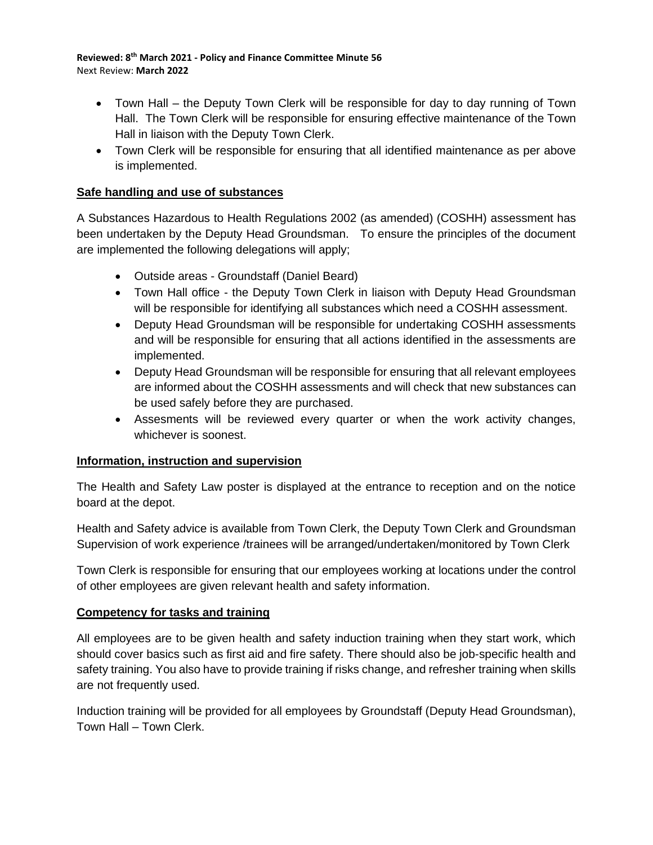- Town Hall the Deputy Town Clerk will be responsible for day to day running of Town Hall. The Town Clerk will be responsible for ensuring effective maintenance of the Town Hall in liaison with the Deputy Town Clerk.
- Town Clerk will be responsible for ensuring that all identified maintenance as per above is implemented.

# **Safe handling and use of substances**

A Substances Hazardous to Health Regulations 2002 (as amended) (COSHH) assessment has been undertaken by the Deputy Head Groundsman. To ensure the principles of the document are implemented the following delegations will apply;

- Outside areas Groundstaff (Daniel Beard)
- Town Hall office the Deputy Town Clerk in liaison with Deputy Head Groundsman will be responsible for identifying all substances which need a COSHH assessment.
- Deputy Head Groundsman will be responsible for undertaking COSHH assessments and will be responsible for ensuring that all actions identified in the assessments are implemented.
- Deputy Head Groundsman will be responsible for ensuring that all relevant employees are informed about the COSHH assessments and will check that new substances can be used safely before they are purchased.
- Assesments will be reviewed every quarter or when the work activity changes, whichever is soonest.

# **Information, instruction and supervision**

The Health and Safety Law poster is displayed at the entrance to reception and on the notice board at the depot.

Health and Safety advice is available from Town Clerk, the Deputy Town Clerk and Groundsman Supervision of work experience /trainees will be arranged/undertaken/monitored by Town Clerk

Town Clerk is responsible for ensuring that our employees working at locations under the control of other employees are given relevant health and safety information.

# **Competency for tasks and training**

All employees are to be given health and safety induction training when they start work, which should cover basics such as first aid and fire safety. There should also be job-specific health and safety training. You also have to provide training if risks change, and refresher training when skills are not frequently used.

Induction training will be provided for all employees by Groundstaff (Deputy Head Groundsman), Town Hall – Town Clerk.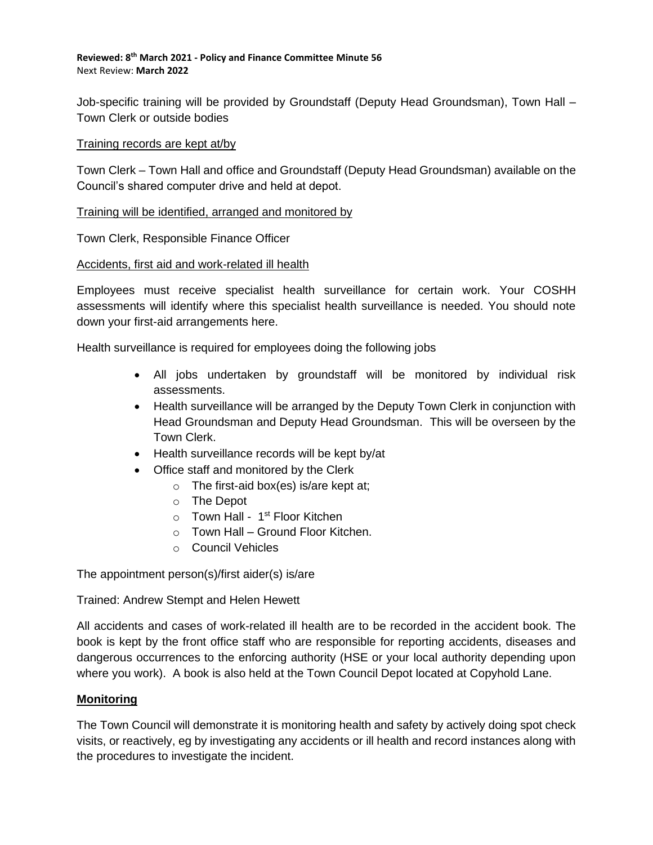Job-specific training will be provided by Groundstaff (Deputy Head Groundsman), Town Hall – Town Clerk or outside bodies

#### Training records are kept at/by

Town Clerk – Town Hall and office and Groundstaff (Deputy Head Groundsman) available on the Council's shared computer drive and held at depot.

### Training will be identified, arranged and monitored by

### Town Clerk, Responsible Finance Officer

### Accidents, first aid and work-related ill health

Employees must receive specialist health surveillance for certain work. Your COSHH assessments will identify where this specialist health surveillance is needed. You should note down your first-aid arrangements here.

Health surveillance is required for employees doing the following jobs

- All jobs undertaken by groundstaff will be monitored by individual risk assessments.
- Health surveillance will be arranged by the Deputy Town Clerk in conjunction with Head Groundsman and Deputy Head Groundsman. This will be overseen by the Town Clerk.
- Health surveillance records will be kept by/at
- Office staff and monitored by the Clerk
	- $\circ$  The first-aid box(es) is/are kept at;
	- o The Depot
	- o Town Hall 1<sup>st</sup> Floor Kitchen
	- $\circ$  Town Hall Ground Floor Kitchen.
	- o Council Vehicles

The appointment person(s)/first aider(s) is/are

Trained: Andrew Stempt and Helen Hewett

All accidents and cases of work-related ill health are to be recorded in the accident book. The book is kept by the front office staff who are responsible for reporting accidents, diseases and dangerous occurrences to the enforcing authority (HSE or your local authority depending upon where you work). A book is also held at the Town Council Depot located at Copyhold Lane.

# **Monitoring**

The Town Council will demonstrate it is monitoring health and safety by actively doing spot check visits, or reactively, eg by investigating any accidents or ill health and record instances along with the procedures to investigate the incident.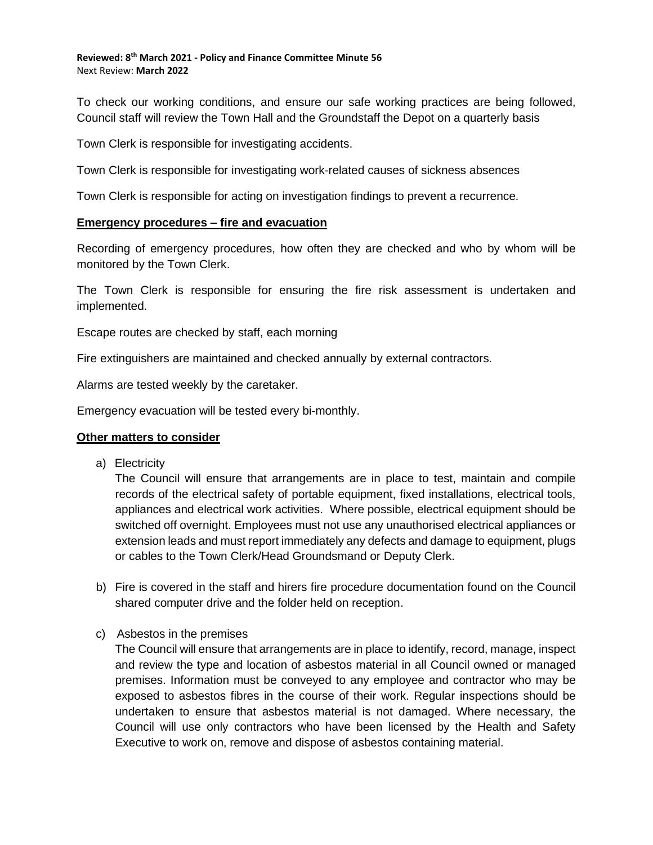To check our working conditions, and ensure our safe working practices are being followed, Council staff will review the Town Hall and the Groundstaff the Depot on a quarterly basis

Town Clerk is responsible for investigating accidents.

Town Clerk is responsible for investigating work-related causes of sickness absences

Town Clerk is responsible for acting on investigation findings to prevent a recurrence.

### **Emergency procedures – fire and evacuation**

Recording of emergency procedures, how often they are checked and who by whom will be monitored by the Town Clerk.

The Town Clerk is responsible for ensuring the fire risk assessment is undertaken and implemented.

Escape routes are checked by staff, each morning

Fire extinguishers are maintained and checked annually by external contractors.

Alarms are tested weekly by the caretaker.

Emergency evacuation will be tested every bi-monthly.

#### **Other matters to consider**

a) Electricity

The Council will ensure that arrangements are in place to test, maintain and compile records of the electrical safety of portable equipment, fixed installations, electrical tools, appliances and electrical work activities. Where possible, electrical equipment should be switched off overnight. Employees must not use any unauthorised electrical appliances or extension leads and must report immediately any defects and damage to equipment, plugs or cables to the Town Clerk/Head Groundsmand or Deputy Clerk.

- b) Fire is covered in the staff and hirers fire procedure documentation found on the Council shared computer drive and the folder held on reception.
- c) Asbestos in the premises

The Council will ensure that arrangements are in place to identify, record, manage, inspect and review the type and location of asbestos material in all Council owned or managed premises. Information must be conveyed to any employee and contractor who may be exposed to asbestos fibres in the course of their work. Regular inspections should be undertaken to ensure that asbestos material is not damaged. Where necessary, the Council will use only contractors who have been licensed by the Health and Safety Executive to work on, remove and dispose of asbestos containing material.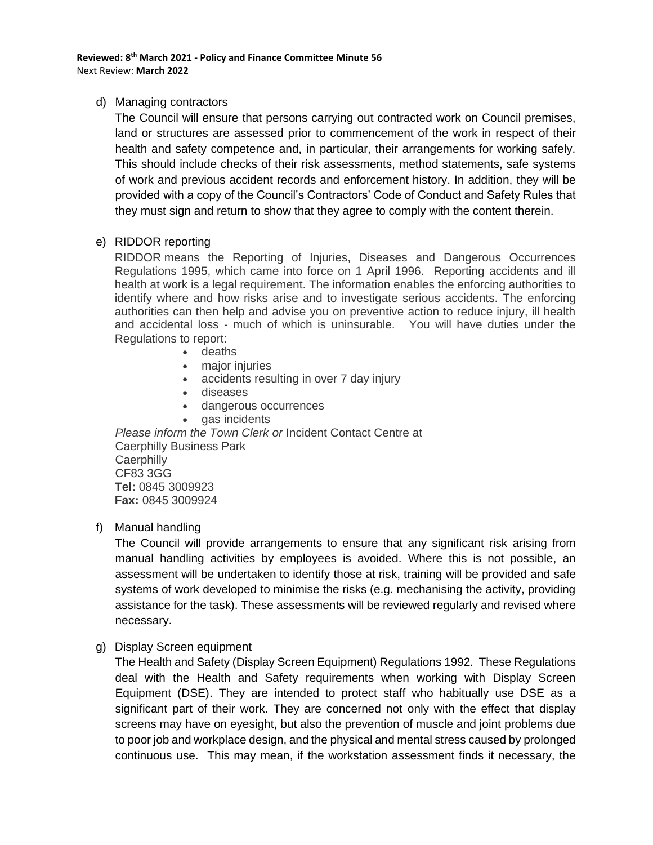### d) Managing contractors

The Council will ensure that persons carrying out contracted work on Council premises, land or structures are assessed prior to commencement of the work in respect of their health and safety competence and, in particular, their arrangements for working safely. This should include checks of their risk assessments, method statements, safe systems of work and previous accident records and enforcement history. In addition, they will be provided with a copy of the Council's Contractors' Code of Conduct and Safety Rules that they must sign and return to show that they agree to comply with the content therein.

### e) RIDDOR reporting

RIDDOR means the Reporting of Injuries, Diseases and Dangerous Occurrences Regulations 1995, which came into force on 1 April 1996. Reporting accidents and ill health at work is a legal requirement. The information enables the enforcing authorities to identify where and how risks arise and to investigate serious accidents. The enforcing authorities can then help and advise you on preventive action to reduce injury, ill health and accidental loss - much of which is uninsurable. You will have duties under the Regulations to report:

- deaths
- major injuries
- accidents resulting in over 7 day injury
- diseases
- dangerous occurrences
- gas incidents

*Please inform the Town Clerk or* Incident Contact Centre at Caerphilly Business Park **Caerphilly** CF83 3GG **Tel:** 0845 3009923 **Fax:** 0845 3009924

f) Manual handling

The Council will provide arrangements to ensure that any significant risk arising from manual handling activities by employees is avoided. Where this is not possible, an assessment will be undertaken to identify those at risk, training will be provided and safe systems of work developed to minimise the risks (e.g. mechanising the activity, providing assistance for the task). These assessments will be reviewed regularly and revised where necessary.

g) Display Screen equipment

The Health and Safety (Display Screen Equipment) Regulations 1992. These Regulations deal with the Health and Safety requirements when working with Display Screen Equipment (DSE). They are intended to protect staff who habitually use DSE as a significant part of their work. They are concerned not only with the effect that display screens may have on eyesight, but also the prevention of muscle and joint problems due to poor job and workplace design, and the physical and mental stress caused by prolonged continuous use. This may mean, if the workstation assessment finds it necessary, the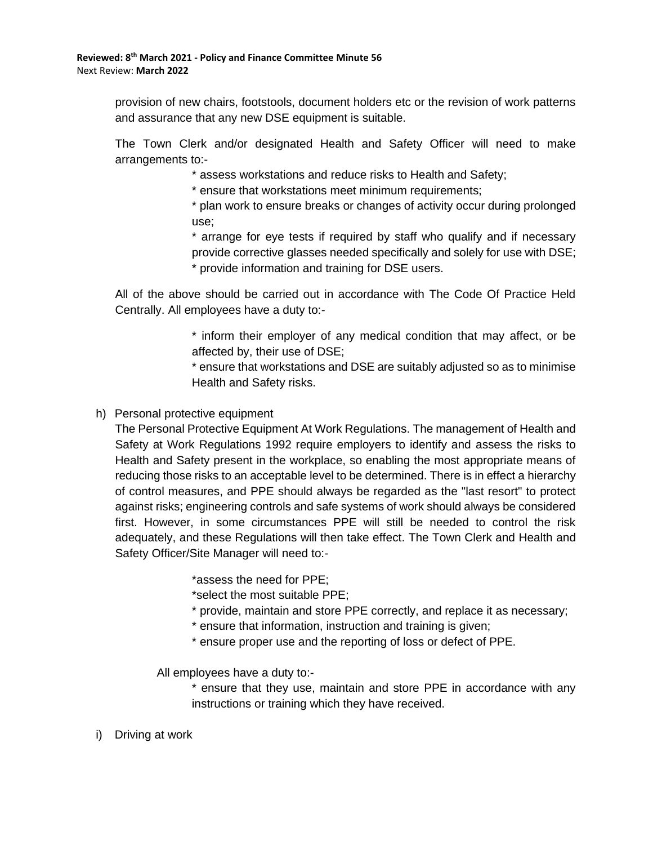provision of new chairs, footstools, document holders etc or the revision of work patterns and assurance that any new DSE equipment is suitable.

The Town Clerk and/or designated Health and Safety Officer will need to make arrangements to:-

\* assess workstations and reduce risks to Health and Safety;

\* ensure that workstations meet minimum requirements;

\* plan work to ensure breaks or changes of activity occur during prolonged use;

\* arrange for eye tests if required by staff who qualify and if necessary provide corrective glasses needed specifically and solely for use with DSE; \* provide information and training for DSE users.

All of the above should be carried out in accordance with The Code Of Practice Held Centrally. All employees have a duty to:-

> \* inform their employer of any medical condition that may affect, or be affected by, their use of DSE;

> \* ensure that workstations and DSE are suitably adjusted so as to minimise Health and Safety risks.

# h) Personal protective equipment

The Personal Protective Equipment At Work Regulations. The management of Health and Safety at Work Regulations 1992 require employers to identify and assess the risks to Health and Safety present in the workplace, so enabling the most appropriate means of reducing those risks to an acceptable level to be determined. There is in effect a hierarchy of control measures, and PPE should always be regarded as the "last resort" to protect against risks; engineering controls and safe systems of work should always be considered first. However, in some circumstances PPE will still be needed to control the risk adequately, and these Regulations will then take effect. The Town Clerk and Health and Safety Officer/Site Manager will need to:-

\*assess the need for PPE;

\*select the most suitable PPE;

- \* provide, maintain and store PPE correctly, and replace it as necessary;
- \* ensure that information, instruction and training is given;
- \* ensure proper use and the reporting of loss or defect of PPE.

All employees have a duty to:-

\* ensure that they use, maintain and store PPE in accordance with any instructions or training which they have received.

i) Driving at work